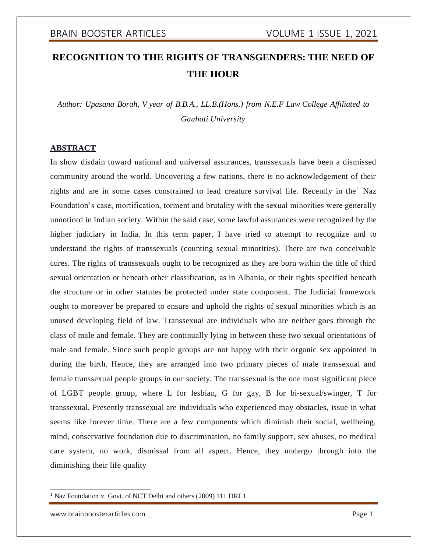# **RECOGNITION TO THE RIGHTS OF TRANSGENDERS: THE NEED OF THE HOUR**

*Author: Upasana Borah, V year of B.B.A., LL.B.(Hons.) from N.E.F Law College Affiliated to Gauhati University*

#### **ABSTRACT**

In show disdain toward national and universal assurances, transsexuals have been a dismissed community around the world. Uncovering a few nations, there is no acknowledgement of their rights and are in some cases constrained to lead creature survival life. Recently in the  $<sup>1</sup>$  Naz</sup> Foundation's case, mortification, torment and brutality with the sexual minorities were generally unnoticed in Indian society. Within the said case, some lawful assurances were recognized by the higher judiciary in India. In this term paper, I have tried to attempt to recognize and to understand the rights of transsexuals (counting sexual minorities). There are two conceivable cures. The rights of transsexuals ought to be recognized as they are born within the title of third sexual orientation or beneath other classification, as in Albania, or their rights specified beneath the structure or in other statutes be protected under state component. The Judicial framework ought to moreover be prepared to ensure and uphold the rights of sexual minorities which is an unused developing field of law. Transsexual are individuals who are neither goes through the class of male and female. They are continually lying in between these two sexual orientations of male and female. Since such people groups are not happy with their organic sex appointed in during the birth. Hence, they are arranged into two primary pieces of male transsexual and female transsexual people groups in our society. The transsexual is the one most significant piece of LGBT people group, where L for lesbian, G for gay, B for bi-sexual/swinger, T for transsexual. Presently transsexual are individuals who experienced may obstacles, issue in what seems like forever time. There are a few components which diminish their social, wellbeing, mind, conservative foundation due to discrimination, no family support, sex abuses, no medical care system, no work, dismissal from all aspect. Hence, they undergo through into the diminishing their life quality

<sup>&</sup>lt;sup>1</sup> Naz Foundation v. Govt. of NCT Delhi and others (2009) 111 DRJ 1

[www.brainboosterarticles.com](http://www.brainboosterarticles.com/) example and the page 1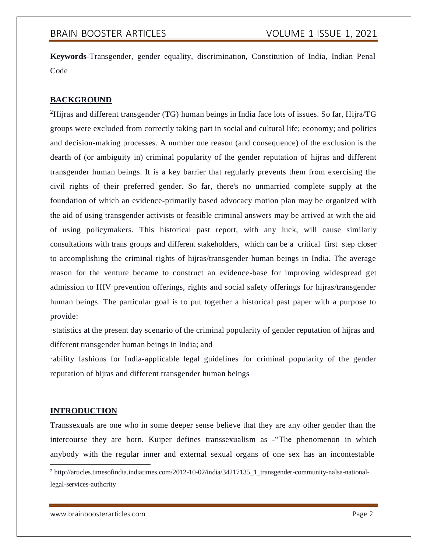**Keywords**-Transgender, gender equality, discrimination, Constitution of India, Indian Penal Code

## **BACKGROUND**

<sup>2</sup>Hijras and different transgender (TG) human beings in India face lots of issues. So far, Hijra/TG groups were excluded from correctly taking part in social and cultural life; economy; and politics and decision-making processes. A number one reason (and consequence) of the exclusion is the dearth of (or ambiguity in) criminal popularity of the gender reputation of hijras and different transgender human beings. It is a key barrier that regularly prevents them from exercising the civil rights of their preferred gender. So far, there's no unmarried complete supply at the foundation of which an evidence-primarily based advocacy motion plan may be organized with the aid of using transgender activists or feasible criminal answers may be arrived at with the aid of using policymakers. This historical past report, with any luck, will cause similarly consultations with trans groups and different stakeholders, which can be a critical first step closer to accomplishing the criminal rights of hijras/transgender human beings in India. The average reason for the venture became to construct an evidence-base for improving widespread get admission to HIV prevention offerings, rights and social safety offerings for hijras/transgender human beings. The particular goal is to put together a historical past paper with a purpose to provide:

·statistics at the present day scenario of the criminal popularity of gender reputation of hijras and different transgender human beings in India; and

·ability fashions for India-applicable legal guidelines for criminal popularity of the gender reputation of hijras and different transgender human beings

### **INTRODUCTION**

Transsexuals are one who in some deeper sense believe that they are any other gender than the intercourse they are born. Kuiper defines transsexualism as -"The phenomenon in which anybody with the regular inner and external sexual organs of one sex has an incontestable

<sup>2</sup> [http://articles.timesofindia.indiatimes.com/2012-10-02/india/34217135\\_1\\_transgender-community-nalsa-national](http://articles.timesofindia.indiatimes.com/2012-10-02/india/34217135_1_transgender-community-nalsa-national-)legal-services-authority

[www.brainboosterarticles.com](http://www.brainboosterarticles.com/) example and the page 2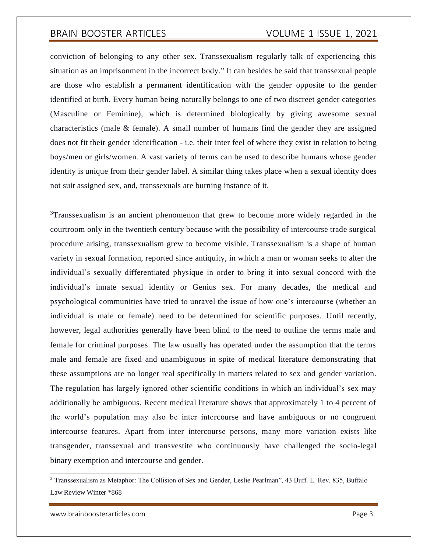conviction of belonging to any other sex. Transsexualism regularly talk of experiencing this situation as an imprisonment in the incorrect body." It can besides be said that transsexual people are those who establish a permanent identification with the gender opposite to the gender identified at birth. Every human being naturally belongs to one of two discreet gender categories (Masculine or Feminine), which is determined biologically by giving awesome sexual characteristics (male  $\&$  female). A small number of humans find the gender they are assigned does not fit their gender identification - i.e. their inter feel of where they exist in relation to being boys/men or girls/women. A vast variety of terms can be used to describe humans whose gender identity is unique from their gender label. A similar thing takes place when a sexual identity does not suit assigned sex, and, transsexuals are burning instance of it.

<sup>3</sup>Transsexualism is an ancient phenomenon that grew to become more widely regarded in the courtroom only in the twentieth century because with the possibility of intercourse trade surgical procedure arising, transsexualism grew to become visible. Transsexualism is a shape of human variety in sexual formation, reported since antiquity, in which a man or woman seeks to alter the individual's sexually differentiated physique in order to bring it into sexual concord with the individual's innate sexual identity or Genius sex. For many decades, the medical and psychological communities have tried to unravel the issue of how one's intercourse (whether an individual is male or female) need to be determined for scientific purposes. Until recently, however, legal authorities generally have been blind to the need to outline the terms male and female for criminal purposes. The law usually has operated under the assumption that the terms male and female are fixed and unambiguous in spite of medical literature demonstrating that these assumptions are no longer real specifically in matters related to sex and gender variation. The regulation has largely ignored other scientific conditions in which an individual's sex may additionally be ambiguous. Recent medical literature shows that approximately 1 to 4 percent of the world's population may also be inter intercourse and have ambiguous or no congruent intercourse features. Apart from inter intercourse persons, many more variation exists like transgender, transsexual and transvestite who continuously have challenged the socio-legal binary exemption and intercourse and gender.

<sup>3</sup> Transsexualism as Metaphor: The Collision of Sex and Gender, Leslie Pearlman", 43 Buff. L. Rev. 835, Buffalo Law Review Winter \*868

[www.brainboosterarticles.com](http://www.brainboosterarticles.com/) example 3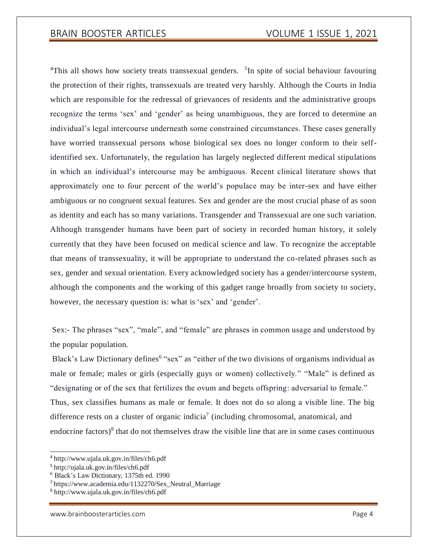<sup>4</sup>This all shows how society treats transsexual genders. <sup>5</sup>In spite of social behaviour favouring the protection of their rights, transsexuals are treated very harshly. Although the Courts in India which are responsible for the redressal of grievances of residents and the administrative groups recognize the terms 'sex' and 'gender' as being unambiguous, they are forced to determine an individual's legal intercourse underneath some constrained circumstances. These cases generally have worried transsexual persons whose biological sex does no longer conform to their selfidentified sex. Unfortunately, the regulation has largely neglected different medical stipulations in which an individual's intercourse may be ambiguous. Recent clinical literature shows that approximately one to four percent of the world's populace may be inter-sex and have either ambiguous or no congruent sexual features. Sex and gender are the most crucial phase of as soon as identity and each has so many variations. Transgender and Transsexual are one such variation. Although transgender humans have been part of society in recorded human history, it solely currently that they have been focused on medical science and law. To recognize the acceptable that means of transsexuality, it will be appropriate to understand the co-related phrases such as sex, gender and sexual orientation. Every acknowledged society has a gender/intercourse system, although the components and the working of this gadget range broadly from society to society, however, the necessary question is: what is 'sex' and 'gender'.

Sex:- The phrases "sex", "male", and "female" are phrases in common usage and understood by the popular population.

Black's Law Dictionary defines<sup>6</sup> "sex" as "either of the two divisions of organisms individual as male or female; males or girls (especially guys or women) collectively." "Male" is defined as "designating or of the sex that fertilizes the ovum and begets offspring: adversarial to female." Thus, sex classifies humans as male or female. It does not do so along a visible line. The big difference rests on a cluster of organic indicia<sup>7</sup> (including chromosomal, anatomical, and endocrine factors) $\delta$  that do not themselves draw the visible line that are in some cases continuous

<sup>4</sup> <http://www.ujala.uk.gov.in/files/ch6.pdf>

<sup>5</sup> <http://ujala.uk.gov.in/files/ch6.pdf>

<sup>6</sup> Black's Law Dictionary, 1375th ed. 1990

<sup>7</sup> https:/[/www.academia.edu/1132270/Sex\\_Neutral\\_Marriage](http://www.academia.edu/1132270/Sex_Neutral_Marriage)

<sup>8</sup> <http://www.ujala.uk.gov.in/files/ch6.pdf>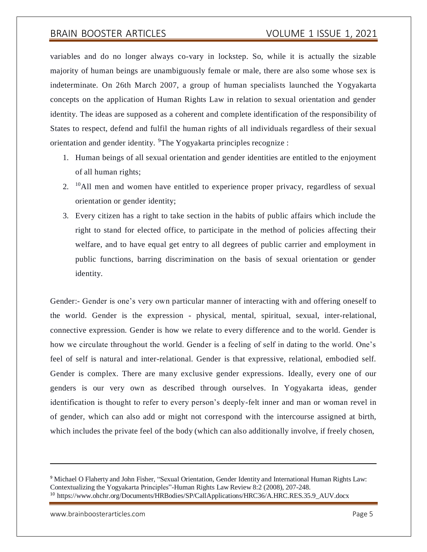variables and do no longer always co-vary in lockstep. So, while it is actually the sizable majority of human beings are unambiguously female or male, there are also some whose sex is indeterminate. On 26th March 2007, a group of human specialists launched the Yogyakarta concepts on the application of Human Rights Law in relation to sexual orientation and gender identity. The ideas are supposed as a coherent and complete identification of the responsibility of States to respect, defend and fulfil the human rights of all individuals regardless of their sexual orientation and gender identity. <sup>9</sup>The Yogyakarta principles recognize :

- 1. Human beings of all sexual orientation and gender identities are entitled to the enjoyment of all human rights;
- 2.  $^{10}$ All men and women have entitled to experience proper privacy, regardless of sexual orientation or gender identity;
- 3. Every citizen has a right to take section in the habits of public affairs which include the right to stand for elected office, to participate in the method of policies affecting their welfare, and to have equal get entry to all degrees of public carrier and employment in public functions, barring discrimination on the basis of sexual orientation or gender identity.

Gender:- Gender is one's very own particular manner of interacting with and offering oneself to the world. Gender is the expression - physical, mental, spiritual, sexual, inter-relational, connective expression. Gender is how we relate to every difference and to the world. Gender is how we circulate throughout the world. Gender is a feeling of self in dating to the world. One's feel of self is natural and inter-relational. Gender is that expressive, relational, embodied self. Gender is complex. There are many exclusive gender expressions. Ideally, every one of our genders is our very own as described through ourselves. In Yogyakarta ideas, gender identification is thought to refer to every person's deeply-felt inner and man or woman revel in of gender, which can also add or might not correspond with the intercourse assigned at birth, which includes the private feel of the body (which can also additionally involve, if freely chosen,

[www.brainboosterarticles.com](http://www.brainboosterarticles.com/) example and the page 5

<sup>&</sup>lt;sup>9</sup> Michael O Flaherty and John Fisher, "Sexual Orientation, Gender Identity and International Human Rights Law: Contextualizing the Yogyakarta Principles"-Human Rights Law Review 8:2 (2008), 207-248. <sup>10</sup> https:/[/www.ohchr.org/Documents/HRBodies/SP/CallApplications/HRC36/A.HRC.RES.35.9\\_AUV.docx](http://www.ohchr.org/Documents/HRBodies/SP/CallApplications/HRC36/A.HRC.RES.35.9_AUV.docx)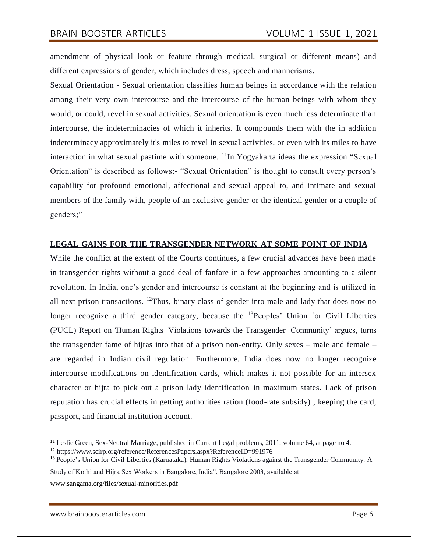amendment of physical look or feature through medical, surgical or different means) and different expressions of gender, which includes dress, speech and mannerisms.

Sexual Orientation - Sexual orientation classifies human beings in accordance with the relation among their very own intercourse and the intercourse of the human beings with whom they would, or could, revel in sexual activities. Sexual orientation is even much less determinate than intercourse, the indeterminacies of which it inherits. It compounds them with the in addition indeterminacy approximately it's miles to revel in sexual activities, or even with its miles to have interaction in what sexual pastime with someone.  $^{11}$ In Yogyakarta ideas the expression "Sexual Orientation" is described as follows:- "Sexual Orientation" is thought to consult every person's capability for profound emotional, affectional and sexual appeal to, and intimate and sexual members of the family with, people of an exclusive gender or the identical gender or a couple of genders;"

### **LEGAL GAINS FOR THE TRANSGENDER NETWORK AT SOME POINT OF INDIA**

While the conflict at the extent of the Courts continues, a few crucial advances have been made in transgender rights without a good deal of fanfare in a few approaches amounting to a silent revolution. In India, one's gender and intercourse is constant at the beginning and is utilized in all next prison transactions. <sup>12</sup>Thus, binary class of gender into male and lady that does now no longer recognize a third gender category, because the  $^{13}$ Peoples' Union for Civil Liberties (PUCL) Report on 'Human Rights Violations towards the Transgender Community' argues, turns the transgender fame of hijras into that of a prison non-entity. Only sexes – male and female – are regarded in Indian civil regulation. Furthermore, India does now no longer recognize intercourse modifications on identification cards, which makes it not possible for an intersex character or hijra to pick out a prison lady identification in maximum states. Lack of prison reputation has crucial effects in getting authorities ration (food-rate subsidy) , keeping the card, passport, and financial institution account.

Study of Kothi and Hijra Sex Workers in Bangalore, India", Bangalore 2003, available at [www.sangama.org/files/sexual-minorities.pdf](http://www.sangama.org/files/sexual-minorities.pdf)

<sup>&</sup>lt;sup>11</sup> Leslie Green, Sex-Neutral Marriage, published in Current Legal problems, 2011, volume 64, at page no 4.

<sup>12</sup> https:/[/www.scirp.org/reference/ReferencesPapers.aspx?ReferenceID=991976](http://www.scirp.org/reference/ReferencesPapers.aspx?ReferenceID=991976)

<sup>&</sup>lt;sup>13</sup> People's Union for Civil Liberties (Karnataka), Human Rights Violations against the Transgender Community: A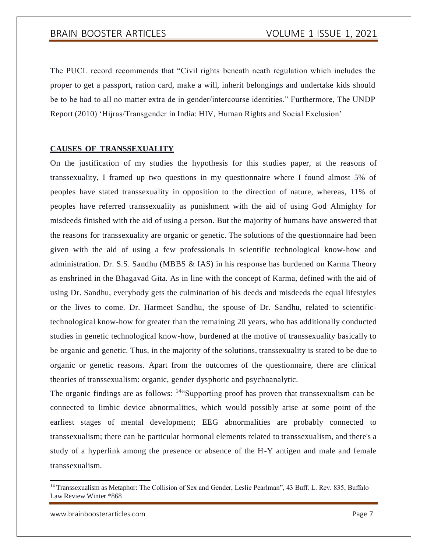The PUCL record recommends that "Civil rights beneath neath regulation which includes the proper to get a passport, ration card, make a will, inherit belongings and undertake kids should be to be had to all no matter extra de in gender/intercourse identities." Furthermore, The UNDP Report (2010) 'Hijras/Transgender in India: HIV, Human Rights and Social Exclusion'

### **CAUSES OF TRANSSEXUALITY**

On the justification of my studies the hypothesis for this studies paper, at the reasons of transsexuality, I framed up two questions in my questionnaire where I found almost 5% of peoples have stated transsexuality in opposition to the direction of nature, whereas, 11% of peoples have referred transsexuality as punishment with the aid of using God Almighty for misdeeds finished with the aid of using a person. But the majority of humans have answered that the reasons for transsexuality are organic or genetic. The solutions of the questionnaire had been given with the aid of using a few professionals in scientific technological know-how and administration. Dr. S.S. Sandhu (MBBS & IAS) in his response has burdened on Karma Theory as enshrined in the Bhagavad Gita. As in line with the concept of Karma, defined with the aid of using Dr. Sandhu, everybody gets the culmination of his deeds and misdeeds the equal lifestyles or the lives to come. Dr. Harmeet Sandhu, the spouse of Dr. Sandhu, related to scientifictechnological know-how for greater than the remaining 20 years, who has additionally conducted studies in genetic technological know-how, burdened at the motive of transsexuality basically to be organic and genetic. Thus, in the majority of the solutions, transsexuality is stated to be due to organic or genetic reasons. Apart from the outcomes of the questionnaire, there are clinical theories of transsexualism: organic, gender dysphoric and psychoanalytic.

The organic findings are as follows: <sup>14"</sup>Supporting proof has proven that transsexualism can be connected to limbic device abnormalities, which would possibly arise at some point of the earliest stages of mental development; EEG abnormalities are probably connected to transsexualism; there can be particular hormonal elements related to transsexualism, and there's a study of a hyperlink among the presence or absence of the H-Y antigen and male and female transsexualism.

<sup>14</sup> Transsexualism as Metaphor: The Collision of Sex and Gender, Leslie Pearlman", 43 Buff. L. Rev. 835, Buffalo Law Review Winter \*868

[www.brainboosterarticles.com](http://www.brainboosterarticles.com/) example and the page 7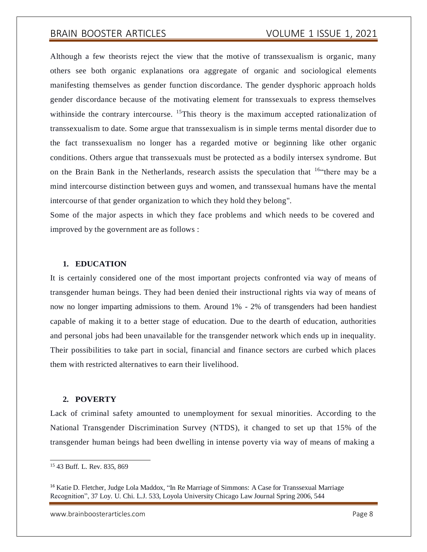Although a few theorists reject the view that the motive of transsexualism is organic, many others see both organic explanations ora aggregate of organic and sociological elements manifesting themselves as gender function discordance. The gender dysphoric approach holds gender discordance because of the motivating element for transsexuals to express themselves withinside the contrary intercourse. <sup>15</sup>This theory is the maximum accepted rationalization of transsexualism to date. Some argue that transsexualism is in simple terms mental disorder due to the fact transsexualism no longer has a regarded motive or beginning like other organic conditions. Others argue that transsexuals must be protected as a bodily intersex syndrome. But on the Brain Bank in the Netherlands, research assists the speculation that <sup>16"</sup>there may be a mind intercourse distinction between guys and women, and transsexual humans have the mental intercourse of that gender organization to which they hold they belong".

Some of the major aspects in which they face problems and which needs to be covered and improved by the government are as follows :

#### **1. EDUCATION**

It is certainly considered one of the most important projects confronted via way of means of transgender human beings. They had been denied their instructional rights via way of means of now no longer imparting admissions to them. Around 1% - 2% of transgenders had been handiest capable of making it to a better stage of education. Due to the dearth of education, authorities and personal jobs had been unavailable for the transgender network which ends up in inequality. Their possibilities to take part in social, financial and finance sectors are curbed which places them with restricted alternatives to earn their livelihood.

#### **2. POVERTY**

Lack of criminal safety amounted to unemployment for sexual minorities. According to the National Transgender Discrimination Survey (NTDS), it changed to set up that 15% of the transgender human beings had been dwelling in intense poverty via way of means of making a

[www.brainboosterarticles.com](http://www.brainboosterarticles.com/) example and the property of the Page 8

<sup>15</sup> 43 Buff. L. Rev. 835, 869

<sup>&</sup>lt;sup>16</sup> Katie D. Fletcher, Judge Lola Maddox, "In Re Marriage of Simmons: A Case for Transsexual Marriage Recognition", 37 Loy. U. Chi. L.J. 533, Loyola University Chicago Law Journal Spring 2006, 544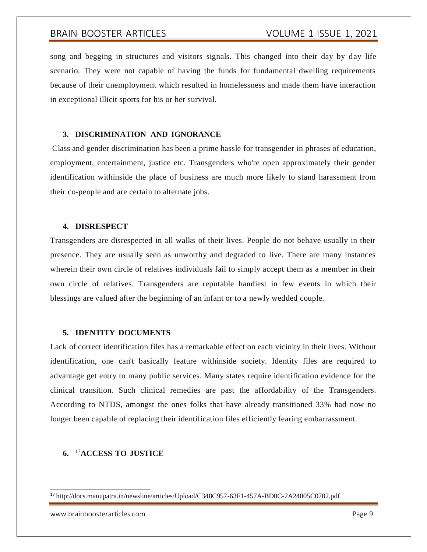song and begging in structures and visitors signals. This changed into their day by day life scenario. They were not capable of having the funds for fundamental dwelling requirements because of their unemployment which resulted in homelessness and made them have interaction in exceptional illicit sports for his or her survival.

#### **3. DISCRIMINATION AND IGNORANCE**

Class and gender discrimination has been a prime hassle for transgender in phrases of education, employment, entertainment, justice etc. Transgenders who're open approximately their gender identification withinside the place of business are much more likely to stand harassment from their co-people and are certain to alternate jobs.

### **4. DISRESPECT**

Transgenders are disrespected in all walks of their lives. People do not behave usually in their presence. They are usually seen as unworthy and degraded to live. There are many instances wherein their own circle of relatives individuals fail to simply accept them as a member in their own circle of relatives. Transgenders are reputable handiest in few events in which their blessings are valued after the beginning of an infant or to a newly wedded couple.

### **5. IDENTITY DOCUMENTS**

Lack of correct identification files has a remarkable effect on each vicinity in their lives. Without identification, one can't basically feature withinside society. Identity files are required to advantage get entry to many public services. Many states require identification evidence for the clinical transition. Such clinical remedies are past the affordability of the Transgenders. According to NTDS, amongst the ones folks that have already transitioned 33% had now no longer been capable of replacing their identification files efficiently fearing embarrassment.

### **6.** <sup>17</sup>**ACCESS TO JUSTICE**

[www.brainboosterarticles.com](http://www.brainboosterarticles.com/) example and the example of the example of Page 9

<sup>17</sup> <http://docs.manupatra.in/newsline/articles/Upload/C348C957-63F1-457A-BD0C-2A24005C0702.pdf>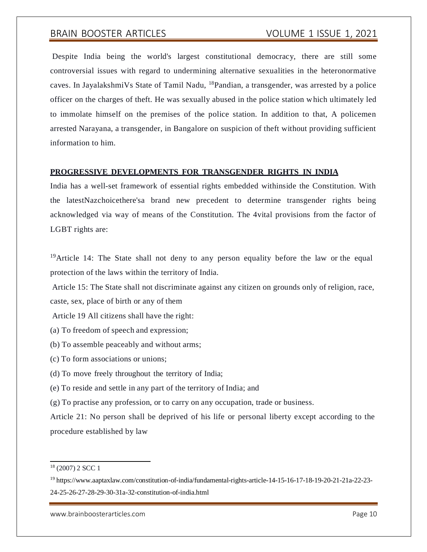Despite India being the world's largest constitutional democracy, there are still some controversial issues with regard to undermining alternative sexualities in the heteronormative caves. In JayalakshmiVs State of Tamil Nadu, <sup>18</sup>Pandian, a transgender, was arrested by a police officer on the charges of theft. He was sexually abused in the police station which ultimately led to immolate himself on the premises of the police station. In addition to that, A policemen arrested Narayana, a transgender, in Bangalore on suspicion of theft without providing sufficient information to him.

#### **PROGRESSIVE DEVELOPMENTS FOR TRANSGENDER RIGHTS IN INDIA**

India has a well-set framework of essential rights embedded withinside the Constitution. With the latestNazchoicethere'sa brand new precedent to determine transgender rights being acknowledged via way of means of the Constitution. The 4vital provisions from the factor of LGBT rights are:

<sup>19</sup>Article 14: The State shall not deny to any person equality before the law or the equal protection of the laws within the territory of India.

Article 15: The State shall not discriminate against any citizen on grounds only of religion, race, caste, sex, place of birth or any of them

Article 19 All citizens shall have the right:

- (a) To freedom of speech and expression;
- (b) To assemble peaceably and without arms;
- (c) To form associations or unions;
- (d) To move freely throughout the territory of India;

(e) To reside and settle in any part of the territory of India; and

(g) To practise any profession, or to carry on any occupation, trade or business.

Article 21: No person shall be deprived of his life or personal liberty except according to the procedure established by law

<sup>18</sup> (2007) 2 SCC 1

<sup>19</sup> https:/[/www.aaptaxlaw.com/constitution-of-india/fundamental-rights-article-14-15-16-17-18-19-20-21-21a-22-23-](http://www.aaptaxlaw.com/constitution-of-india/fundamental-rights-article-14-15-16-17-18-19-20-21-21a-22-23-) 24-25-26-27-28-29-30-31a-32-constitution-of-india.html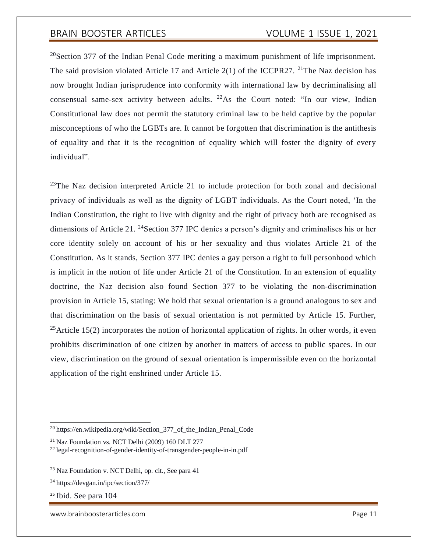$20$ Section 377 of the Indian Penal Code meriting a maximum punishment of life imprisonment. The said provision violated Article 17 and Article 2(1) of the ICCPR27. <sup>21</sup>The Naz decision has now brought Indian jurisprudence into conformity with international law by decriminalising all consensual same-sex activity between adults.  $2^{2}$ As the Court noted: "In our view, Indian Constitutional law does not permit the statutory criminal law to be held captive by the popular misconceptions of who the LGBTs are. It cannot be forgotten that discrimination is the antithesis of equality and that it is the recognition of equality which will foster the dignity of every individual".

 $^{23}$ The Naz decision interpreted Article 21 to include protection for both zonal and decisional privacy of individuals as well as the dignity of LGBT individuals. As the Court noted, 'In the Indian Constitution, the right to live with dignity and the right of privacy both are recognised as dimensions of Article 21. <sup>24</sup>Section 377 IPC denies a person's dignity and criminalises his or her core identity solely on account of his or her sexuality and thus violates Article 21 of the Constitution. As it stands, Section 377 IPC denies a gay person a right to full personhood which is implicit in the notion of life under Article 21 of the Constitution. In an extension of equality doctrine, the Naz decision also found Section 377 to be violating the non-discrimination provision in Article 15, stating: We hold that sexual orientation is a ground analogous to sex and that discrimination on the basis of sexual orientation is not permitted by Article 15. Further, <sup>25</sup>Article 15(2) incorporates the notion of horizontal application of rights. In other words, it even prohibits discrimination of one citizen by another in matters of access to public spaces. In our view, discrimination on the ground of sexual orientation is impermissible even on the horizontal application of the right enshrined under Article 15.

<sup>25</sup> Ibid. See para 104

[www.brainboosterarticles.com](http://www.brainboosterarticles.com/) example and the state of the Page 11

<sup>20</sup> https://en.wikipedia.org/wiki/Section\_377\_of\_the\_Indian\_Penal\_Code

<sup>21</sup> Naz Foundation vs. NCT Delhi (2009) 160 DLT 277

<sup>22</sup> legal-recognition-of-gender-identity-of-transgender-people-in-in.pdf

<sup>23</sup> Naz Foundation v. NCT Delhi, op. cit., See para 41

<sup>24</sup> https://devgan.in/ipc/section/377/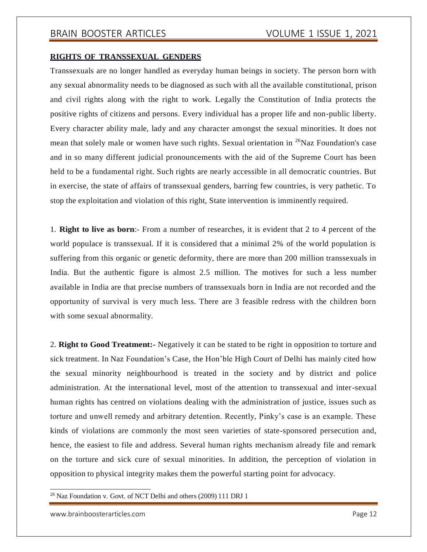#### **RIGHTS OF TRANSSEXUAL GENDERS**

Transsexuals are no longer handled as everyday human beings in society. The person born with any sexual abnormality needs to be diagnosed as such with all the available constitutional, prison and civil rights along with the right to work. Legally the Constitution of India protects the positive rights of citizens and persons. Every individual has a proper life and non-public liberty. Every character ability male, lady and any character amongst the sexual minorities. It does not mean that solely male or women have such rights. Sexual orientation in <sup>26</sup>Naz Foundation's case and in so many different judicial pronouncements with the aid of the Supreme Court has been held to be a fundamental right. Such rights are nearly accessible in all democratic countries. But in exercise, the state of affairs of transsexual genders, barring few countries, is very pathetic. To stop the exploitation and violation of this right, State intervention is imminently required.

1. **Right to live as born**:- From a number of researches, it is evident that 2 to 4 percent of the world populace is transsexual. If it is considered that a minimal 2% of the world population is suffering from this organic or genetic deformity, there are more than 200 million transsexuals in India. But the authentic figure is almost 2.5 million. The motives for such a less number available in India are that precise numbers of transsexuals born in India are not recorded and the opportunity of survival is very much less. There are 3 feasible redress with the children born with some sexual abnormality.

2. **Right to Good Treatment:-** Negatively it can be stated to be right in opposition to torture and sick treatment. In Naz Foundation's Case, the Hon'ble High Court of Delhi has mainly cited how the sexual minority neighbourhood is treated in the society and by district and police administration. At the international level, most of the attention to transsexual and inter-sexual human rights has centred on violations dealing with the administration of justice, issues such as torture and unwell remedy and arbitrary detention. Recently, Pinky's case is an example. These kinds of violations are commonly the most seen varieties of state-sponsored persecution and, hence, the easiest to file and address. Several human rights mechanism already file and remark on the torture and sick cure of sexual minorities. In addition, the perception of violation in opposition to physical integrity makes them the powerful starting point for advocacy.

<sup>26</sup> Naz Foundation v. Govt. of NCT Delhi and others (2009) 111 DRJ 1

[www.brainboosterarticles.com](http://www.brainboosterarticles.com/) example and the state of the Page 12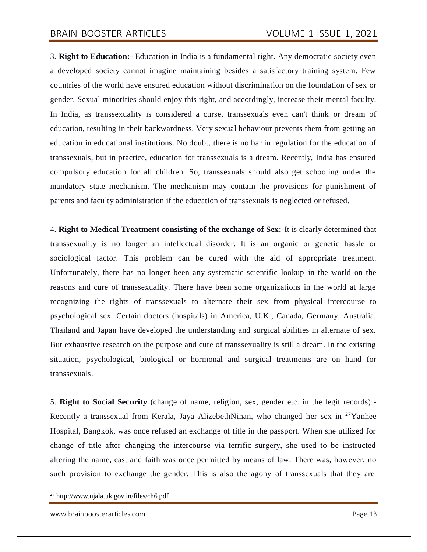3. **Right to Education:-** Education in India is a fundamental right. Any democratic society even a developed society cannot imagine maintaining besides a satisfactory training system. Few countries of the world have ensured education without discrimination on the foundation of sex or gender. Sexual minorities should enjoy this right, and accordingly, increase their mental faculty. In India, as transsexuality is considered a curse, transsexuals even can't think or dream of education, resulting in their backwardness. Very sexual behaviour prevents them from getting an education in educational institutions. No doubt, there is no bar in regulation for the education of transsexuals, but in practice, education for transsexuals is a dream. Recently, India has ensured compulsory education for all children. So, transsexuals should also get schooling under the mandatory state mechanism. The mechanism may contain the provisions for punishment of parents and faculty administration if the education of transsexuals is neglected or refused.

4. **Right to Medical Treatment consisting of the exchange of Sex:-**It is clearly determined that transsexuality is no longer an intellectual disorder. It is an organic or genetic hassle or sociological factor. This problem can be cured with the aid of appropriate treatment. Unfortunately, there has no longer been any systematic scientific lookup in the world on the reasons and cure of transsexuality. There have been some organizations in the world at large recognizing the rights of transsexuals to alternate their sex from physical intercourse to psychological sex. Certain doctors (hospitals) in America, U.K., Canada, Germany, Australia, Thailand and Japan have developed the understanding and surgical abilities in alternate of sex. But exhaustive research on the purpose and cure of transsexuality is still a dream. In the existing situation, psychological, biological or hormonal and surgical treatments are on hand for transsexuals.

5. **Right to Social Security** (change of name, religion, sex, gender etc. in the legit records):- Recently a transsexual from Kerala, Jaya AlizebethNinan, who changed her sex in  $27$ Yanhee Hospital, Bangkok, was once refused an exchange of title in the passport. When she utilized for change of title after changing the intercourse via terrific surgery, she used to be instructed altering the name, cast and faith was once permitted by means of law. There was, however, no such provision to exchange the gender. This is also the agony of transsexuals that they are

[www.brainboosterarticles.com](http://www.brainboosterarticles.com/) example and the example of the Page 13

<sup>27</sup> <http://www.ujala.uk.gov.in/files/ch6.pdf>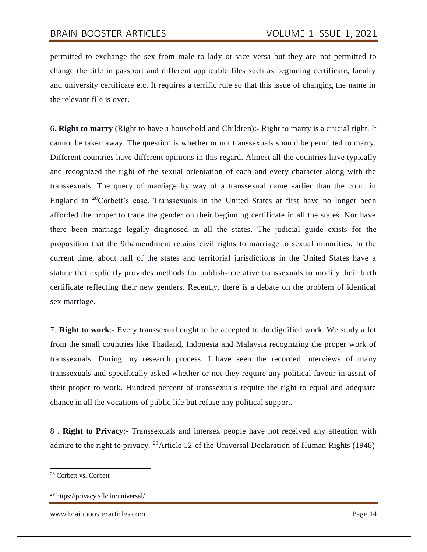permitted to exchange the sex from male to lady or vice versa but they are not permitted to change the title in passport and different applicable files such as beginning certificate, faculty and university certificate etc. It requires a terrific rule so that this issue of changing the name in the relevant file is over.

6. **Right to marry** (Right to have a household and Children):- Right to marry is a crucial right. It cannot be taken away. The question is whether or not transsexuals should be permitted to marry. Different countries have different opinions in this regard. Almost all the countries have typically and recognized the right of the sexual orientation of each and every character along with the transsexuals. The query of marriage by way of a transsexual came earlier than the court in England in  $28$ Corbett's case. Transsexuals in the United States at first have no longer been afforded the proper to trade the gender on their beginning certificate in all the states. Nor have there been marriage legally diagnosed in all the states. The judicial guide exists for the proposition that the 9thamendment retains civil rights to marriage to sexual minorities. In the current time, about half of the states and territorial jurisdictions in the United States have a statute that explicitly provides methods for publish-operative transsexuals to modify their birth certificate reflecting their new genders. Recently, there is a debate on the problem of identical sex marriage.

7. **Right to work**:- Every transsexual ought to be accepted to do dignified work. We study a lot from the small countries like Thailand, Indonesia and Malaysia recognizing the proper work of transsexuals. During my research process, I have seen the recorded interviews of many transsexuals and specifically asked whether or not they require any political favour in assist of their proper to work. Hundred percent of transsexuals require the right to equal and adequate chance in all the vocations of public life but refuse any political support.

8 . **Right to Privacy**:- Transsexuals and intersex people have not received any attention with admire to the right to privacy. <sup>29</sup>Article 12 of the Universal Declaration of Human Rights (1948)

<sup>28</sup> Corbett vs. Corbett

<sup>29</sup> https://privacy.sflc.in/universal/

[www.brainboosterarticles.com](http://www.brainboosterarticles.com/) example and the state of the Page 14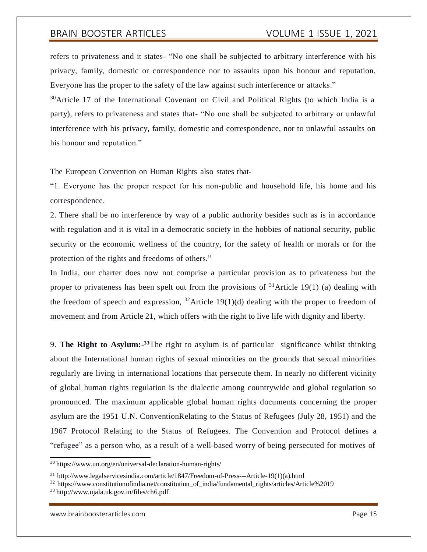refers to privateness and it states- "No one shall be subjected to arbitrary interference with his privacy, family, domestic or correspondence nor to assaults upon his honour and reputation. Everyone has the proper to the safety of the law against such interference or attacks."

 $30$ Article 17 of the International Covenant on Civil and Political Rights (to which India is a party), refers to privateness and states that- "No one shall be subjected to arbitrary or unlawful interference with his privacy, family, domestic and correspondence, nor to unlawful assaults on his honour and reputation."

The European Convention on Human Rights also states that-

"1. Everyone has the proper respect for his non-public and household life, his home and his correspondence.

2. There shall be no interference by way of a public authority besides such as is in accordance with regulation and it is vital in a democratic society in the hobbies of national security, public security or the economic wellness of the country, for the safety of health or morals or for the protection of the rights and freedoms of others."

In India, our charter does now not comprise a particular provision as to privateness but the proper to privateness has been spelt out from the provisions of  $31$ Article 19(1) (a) dealing with the freedom of speech and expression,  $32$  Article 19(1)(d) dealing with the proper to freedom of movement and from Article 21, which offers with the right to live life with dignity and liberty.

9. **The Right to Asylum:- <sup>33</sup>**The right to asylum is of particular significance whilst thinking about the International human rights of sexual minorities on the grounds that sexual minorities regularly are living in international locations that persecute them. In nearly no different vicinity of global human rights regulation is the dialectic among countrywide and global regulation so pronounced. The maximum applicable global human rights documents concerning the proper asylum are the 1951 U.N. ConventionRelating to the Status of Refugees (July 28, 1951) and the 1967 Protocol Relating to the Status of Refugees. The Convention and Protocol defines a "refugee" as a person who, as a result of a well-based worry of being persecuted for motives of

<sup>30</sup> https:/[/www.un.org/en/universal-declaration-human-rights/](http://www.un.org/en/universal-declaration-human-rights/)

<sup>31</sup> [http://www.legalservicesindia.com/article/1847/Freedom-of-Press---Article-19\(1\)\(a\).html](http://www.legalservicesindia.com/article/1847/Freedom-of-Press---Article-19(1)(a).html)

<sup>&</sup>lt;sup>32</sup> https://www.constitutionofindia.net/constitution of india/fundamental rights/articles/Article%2019

<sup>33</sup> <http://www.ujala.uk.gov.in/files/ch6.pdf>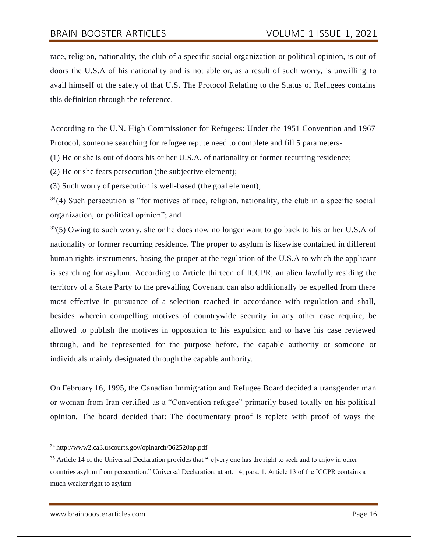race, religion, nationality, the club of a specific social organization or political opinion, is out of doors the U.S.A of his nationality and is not able or, as a result of such worry, is unwilling to avail himself of the safety of that U.S. The Protocol Relating to the Status of Refugees contains this definition through the reference.

According to the U.N. High Commissioner for Refugees: Under the 1951 Convention and 1967 Protocol, someone searching for refugee repute need to complete and fill 5 parameters-

(1) He or she is out of doors his or her U.S.A. of nationality or former recurring residence;

(2) He or she fears persecution (the subjective element);

(3) Such worry of persecution is well-based (the goal element);

 $34(4)$  Such persecution is "for motives of race, religion, nationality, the club in a specific social organization, or political opinion"; and

 $35(5)$  Owing to such worry, she or he does now no longer want to go back to his or her U.S.A of nationality or former recurring residence. The proper to asylum is likewise contained in different human rights instruments, basing the proper at the regulation of the U.S.A to which the applicant is searching for asylum. According to Article thirteen of ICCPR, an alien lawfully residing the territory of a State Party to the prevailing Covenant can also additionally be expelled from there most effective in pursuance of a selection reached in accordance with regulation and shall, besides wherein compelling motives of countrywide security in any other case require, be allowed to publish the motives in opposition to his expulsion and to have his case reviewed through, and be represented for the purpose before, the capable authority or someone or individuals mainly designated through the capable authority.

On February 16, 1995, the Canadian Immigration and Refugee Board decided a transgender man or woman from Iran certified as a "Convention refugee" primarily based totally on his political opinion. The board decided that: The documentary proof is replete with proof of ways the

<sup>34</sup> <http://www2.ca3.uscourts.gov/opinarch/062520np.pdf>

<sup>&</sup>lt;sup>35</sup> Article 14 of the Universal Declaration provides that "[e]very one has the right to seek and to enjoy in other countries asylum from persecution." Universal Declaration, at art. 14, para. 1. Article 13 of the ICCPR contains a much weaker right to asylum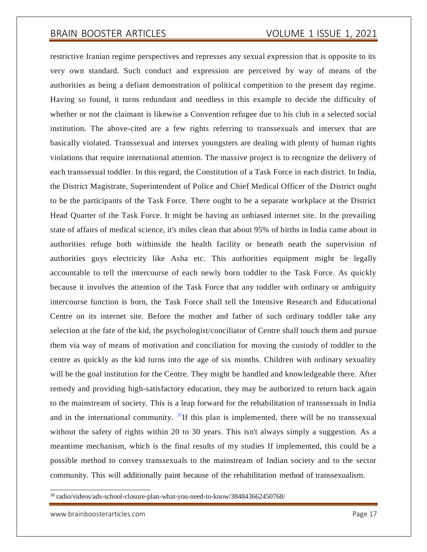restrictive Iranian regime perspectives and represses any sexual expression that is opposite to its very own standard. Such conduct and expression are perceived by way of means of the authorities as being a defiant demonstration of political competition to the present day regime. Having so found, it turns redundant and needless in this example to decide the difficulty of whether or not the claimant is likewise a Convention refugee due to his club in a selected social institution. The above-cited are a few rights referring to transsexuals and intersex that are basically violated. Transsexual and intersex youngsters are dealing with plenty of human rights violations that require international attention. The massive project is to recognize the delivery of each transsexual toddler. In this regard, the Constitution of a Task Force in each district. In India, the District Magistrate, Superintendent of Police and Chief Medical Officer of the District ought to be the participants of the Task Force. There ought to be a separate workplace at the District Head Quarter of the Task Force. It might be having an unbiased internet site. In the prevailing state of affairs of medical science, it's miles clean that about 95% of births in India came about in authorities refuge both withinside the health facility or beneath neath the supervision of authorities guys electricity like Asha etc. This authorities equipment might be legally accountable to tell the intercourse of each newly born toddler to the Task Force. As quickly because it involves the attention of the Task Force that any toddler with ordinary or ambiguity intercourse function is born, the Task Force shall tell the Intensive Research and Educational Centre on its internet site. Before the mother and father of such ordinary toddler take any selection at the fate of the kid, the psychologist/conciliator of Centre shall touch them and pursue them via way of means of motivation and conciliation for moving the custody of toddler to the centre as quickly as the kid turns into the age of six months. Children with ordinary sexuality will be the goal institution for the Centre. They might be handled and knowledgeable there. After remedy and providing high-satisfactory education, they may be authorized to return back again to the mainstream of society. This is a leap forward for the rehabilitation of transsexuals in India and in the international community.  ${}^{36}$ If this plan is implemented, there will be no transsexual without the safety of rights within 20 to 30 years. This isn't always simply a suggestion. As a meantime mechanism, which is the final results of my studies If implemented, this could be a possible method to convey transsexuals to the mainstream of Indian society and to the sector community. This will additionally paint because of the rehabilitation method of transsexualism.

<sup>36</sup> radio/videos/ads-school-closure-plan-what-you-need-to-know/384843662450768/

[www.brainboosterarticles.com](http://www.brainboosterarticles.com/) example and the example of the Page 17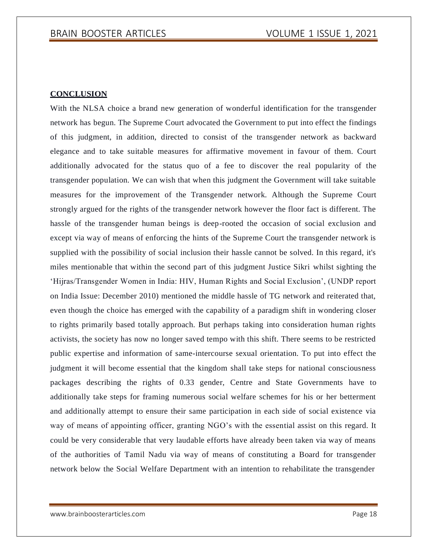### **CONCLUSION**

With the NLSA choice a brand new generation of wonderful identification for the transgender network has begun. The Supreme Court advocated the Government to put into effect the findings of this judgment, in addition, directed to consist of the transgender network as backward elegance and to take suitable measures for affirmative movement in favour of them. Court additionally advocated for the status quo of a fee to discover the real popularity of the transgender population. We can wish that when this judgment the Government will take suitable measures for the improvement of the Transgender network. Although the Supreme Court strongly argued for the rights of the transgender network however the floor fact is different. The hassle of the transgender human beings is deep-rooted the occasion of social exclusion and except via way of means of enforcing the hints of the Supreme Court the transgender network is supplied with the possibility of social inclusion their hassle cannot be solved. In this regard, it's miles mentionable that within the second part of this judgment Justice Sikri whilst sighting the 'Hijras/Transgender Women in India: HIV, Human Rights and Social Exclusion', (UNDP report on India Issue: December 2010) mentioned the middle hassle of TG network and reiterated that, even though the choice has emerged with the capability of a paradigm shift in wondering closer to rights primarily based totally approach. But perhaps taking into consideration human rights activists, the society has now no longer saved tempo with this shift. There seems to be restricted public expertise and information of same-intercourse sexual orientation. To put into effect the judgment it will become essential that the kingdom shall take steps for national consciousness packages describing the rights of 0.33 gender, Centre and State Governments have to additionally take steps for framing numerous social welfare schemes for his or her betterment and additionally attempt to ensure their same participation in each side of social existence via way of means of appointing officer, granting NGO's with the essential assist on this regard. It could be very considerable that very laudable efforts have already been taken via way of means of the authorities of Tamil Nadu via way of means of constituting a Board for transgender network below the Social Welfare Department with an intention to rehabilitate the transgender